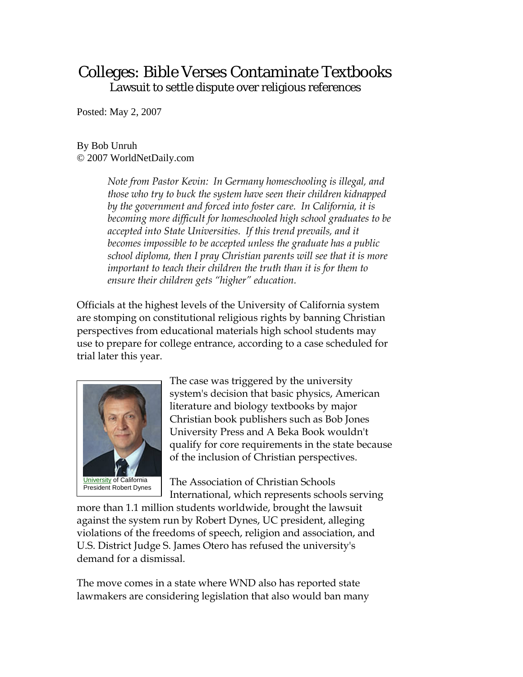## Colleges: Bible Verses Contaminate Textbooks Lawsuit to settle dispute over religious references

Posted: May 2, 2007

## By Bob Unruh © 2007 WorldNetDaily.com

*Note from Pastor Kevin: In Germany homeschooling is illegal, and those who try to buck the system have seen their children kidnapped by the government and forced into foster care. In California, it is becoming more difficult for homeschooled high school graduates to be accepted into State Universities. If this trend prevails, and it becomes impossible to be accepted unless the graduate has a public school diploma, then I pray Christian parents will see that it is more important to teach their children the truth than it is for them to ensure their children gets "higher" education.* 

Officials at the highest levels of the University of California system are stomping on constitutional religious rights by banning Christian perspectives from educational materials high school students may use to prepare for college entrance, according to a case scheduled for trial later this year.



The case was triggered by the university system's decision that basic physics, American literature and biology textbooks by major Christian book publishers such as Bob Jones University Press and A Beka Book wouldn't qualify for core requirements in the state because of the inclusion of Christian perspectives.

The Association of Christian Schools International, which represents schools serving

more than 1.1 million students worldwide, brought the lawsuit against the system run by Robert Dynes, UC president, alleging violations of the freedoms of speech, religion and association, and U.S. District Judge S. James Otero has refused the university's demand for a dismissal.

The move comes in a state where WND also has reported state lawmakers are considering legislation that also would ban many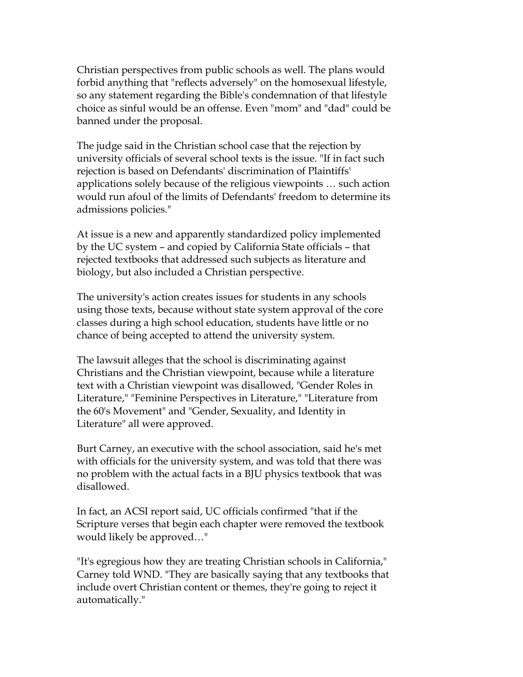Christian perspectives from public schools as well. The plans would forbid anything that "reflects adversely" on the homosexual lifestyle, so any statement regarding the Bible's condemnation of that lifestyle choice as sinful would be an offense. Even "mom" and "dad" could be banned under the proposal.

The judge said in the Christian school case that the rejection by university officials of several school texts is the issue. "If in fact such rejection is based on Defendants' discrimination of Plaintiffs' applications solely because of the religious viewpoints … such action would run afoul of the limits of Defendants' freedom to determine its admissions policies."

At issue is a new and apparently standardized policy implemented by the UC system – and copied by California State officials – that rejected textbooks that addressed such subjects as literature and biology, but also included a Christian perspective.

The university's action creates issues for students in any schools using those texts, because without state system approval of the core classes during a high school education, students have little or no chance of being accepted to attend the university system.

The lawsuit alleges that the school is discriminating against Christians and the Christian viewpoint, because while a literature text with a Christian viewpoint was disallowed, "Gender Roles in Literature," "Feminine Perspectives in Literature," "Literature from the 60's Movement" and "Gender, Sexuality, and Identity in Literature" all were approved.

Burt Carney, an executive with the school association, said he's met with officials for the university system, and was told that there was no problem with the actual facts in a BJU physics textbook that was disallowed.

In fact, an ACSI report said, UC officials confirmed "that if the Scripture verses that begin each chapter were removed the textbook would likely be approved…"

"It's egregious how they are treating Christian schools in California," Carney told WND. "They are basically saying that any textbooks that include overt Christian content or themes, they're going to reject it automatically."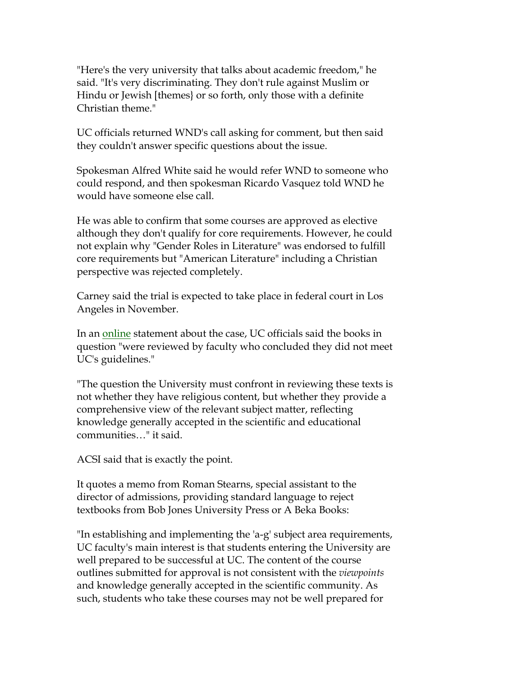"Here's the very university that talks about academic freedom," he said. "It's very discriminating. They don't rule against Muslim or Hindu or Jewish [themes} or so forth, only those with a definite Christian theme."

UC officials returned WND's call asking for comment, but then said they couldn't answer specific questions about the issue.

Spokesman Alfred White said he would refer WND to someone who could respond, and then spokesman Ricardo Vasquez told WND he would have someone else call.

He was able to confirm that some courses are approved as elective although they don't qualify for core requirements. However, he could not explain why "Gender Roles in Literature" was endorsed to fulfill core requirements but "American Literature" including a Christian perspective was rejected completely.

Carney said the trial is expected to take place in federal court in Los Angeles in November.

In an [online](http://worldnetdaily.com/news/article.asp?ARTICLE_ID=55480) statement about the case, UC officials said the books in question "were reviewed by faculty who concluded they did not meet UC's guidelines."

"The question the University must confront in reviewing these texts is not whether they have religious content, but whether they provide a comprehensive view of the relevant subject matter, reflecting knowledge generally accepted in the scientific and educational communities…" it said.

ACSI said that is exactly the point.

It quotes a memo from Roman Stearns, special assistant to the director of admissions, providing standard language to reject textbooks from Bob Jones University Press or A Beka Books:

"In establishing and implementing the 'a-g' subject area requirements, UC faculty's main interest is that students entering the University are well prepared to be successful at UC. The content of the course outlines submitted for approval is not consistent with the *viewpoints* and knowledge generally accepted in the scientific community. As such, students who take these courses may not be well prepared for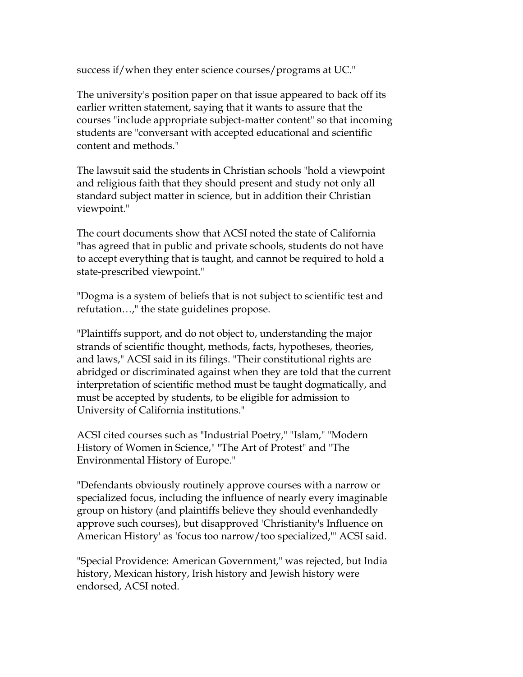success if/when they enter science courses/programs at UC."

The university's position paper on that issue appeared to back off its earlier written statement, saying that it wants to assure that the courses "include appropriate subject-matter content" so that incoming students are "conversant with accepted educational and scientific content and methods."

The lawsuit said the students in Christian schools "hold a viewpoint and religious faith that they should present and study not only all standard subject matter in science, but in addition their Christian viewpoint."

The court documents show that ACSI noted the state of California "has agreed that in public and private schools, students do not have to accept everything that is taught, and cannot be required to hold a state-prescribed viewpoint."

"Dogma is a system of beliefs that is not subject to scientific test and refutation…," the state guidelines propose.

"Plaintiffs support, and do not object to, understanding the major strands of scientific thought, methods, facts, hypotheses, theories, and laws," ACSI said in its filings. "Their constitutional rights are abridged or discriminated against when they are told that the current interpretation of scientific method must be taught dogmatically, and must be accepted by students, to be eligible for admission to University of California institutions."

ACSI cited courses such as "Industrial Poetry," "Islam," "Modern History of Women in Science," "The Art of Protest" and "The Environmental History of Europe."

"Defendants obviously routinely approve courses with a narrow or specialized focus, including the influence of nearly every imaginable group on history (and plaintiffs believe they should evenhandedly approve such courses), but disapproved 'Christianity's Influence on American History' as 'focus too narrow/too specialized,'" ACSI said.

"Special Providence: American Government," was rejected, but India history, Mexican history, Irish history and Jewish history were endorsed, ACSI noted.